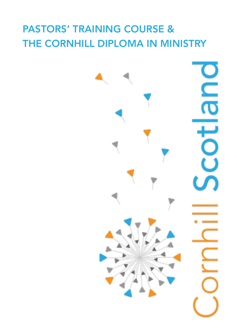# PASTORS' TRAINING COURSE & THE CORNHILL DIPLOMA IN MINISTRY

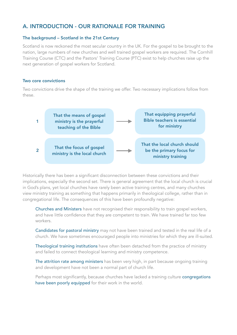# A. INTRODUCTION - OUR RATIONALE FOR TRAINING

#### The background – Scotland in the 21st Century

Scotland is now reckoned the most secular country in the UK. For the gospel to be brought to the nation, large numbers of new churches and well trained gospel workers are required. The Cornhill Training Course (CTC) and the Pastors' Training Course (PTC) exist to help churches raise up the next generation of gospel workers for Scotland.

#### Two core convictions

Two convictions drive the shape of the training we offer. Two necessary implications follow from these.



Historically there has been a significant disconnection between these convictions and their implications, especially the second set. There is general agreement that the local church is crucial in God's plans, yet local churches have rarely been active training centres, and many churches view ministry training as something that happens primarily in theological college, rather than in congregational life. The consequences of this have been profoundly negative:

Churches and Ministers have not recognised their responsibility to train gospel workers, and have little confidence that they are competent to train. We have trained far too few workers.

Candidates for pastoral ministry may not have been trained and tested in the real life of a church. We have sometimes encouraged people into ministries for which they are ill-suited.

Theological training institutions have often been detached from the practice of ministry and failed to connect theological learning and ministry competence.

The attrition rate among ministers has been very high, in part because ongoing training and development have not been a normal part of church life.

Perhaps most significantly, because churches have lacked a training culture congregations have been poorly equipped for their work in the world.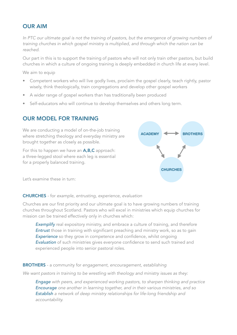# OUR AIM

In PTC our ultimate goal is not the training of pastors, but the emergence of growing numbers of *training churches in which gospel ministry is multiplied, and through which the nation can be reached.*

Our part in this is to support the training of pastors who will not only train other pastors, but build churches in which a culture of ongoing training is deeply embedded in church life at every level.

We aim to equip

- Competent workers who will live godly lives, proclaim the gospel clearly, teach rightly, pastor wisely, think theologically, train congregations and develop other gospel workers
- A wider range of gospel workers than has traditionally been produced
- Self-educators who will continue to develop themselves and others long term.

# OUR MODEL FOR TRAINING

We are conducting a model of on-the-job training where stretching theology and everyday ministry are brought together as closely as possible.

For this to happen we have an **A,B,C** approach: a three-legged stool where each leg is essential for a properly balanced training.



Let's examine these in turn:

#### CHURCHES - for *example, entrusting, experience, evaluation*

Churches are our first priority and our ultimate goal is to have growing numbers of training churches throughout Scotland. Pastors who will excel in ministries which equip churches for mission can be trained effectively only in churches which:

**Exemplify** real expository ministry, and embrace a culture of training, and therefore *Entrust* those in training with significant preaching and ministry work, so as to gain **Experience** so they grow in competence and confidence, whilst ongoing *Evaluation* of such ministries gives everyone confidence to send such trained and experienced people into senior pastoral roles.

BROTHERS - a community for *engagement, encouragement, establishing* 

*We want pastors in training to be wrestling with theology and ministry issues as they:*

*Engage with peers, and experienced working pastors, to sharpen thinking and practice Encourage one another in learning together, and in their various ministries, and so Establish a network of deep ministry relationships for life-long friendship and accountability.*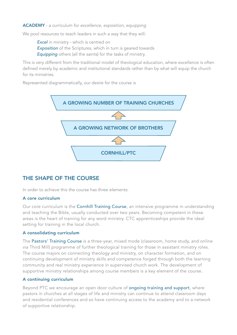#### ACADEMY - a curriculum for *excellence, exposition, equipping*

We pool resources to teach leaders in such a way that they will:

*Excel* in ministry - which is centred on *Exposition* of the Scriptures, which in turn is geared towards *Equipping* others (all the saints) for the tasks of ministry.

This is very different from the traditional model of theological education, where excellence is often defined merely by academic and institutional standards rather than by what will equip the church for its ministries.

Represented diagrammatically, our desire for the course is



# THE SHAPE OF THE COURSE

In order to achieve this the course has three elements:

#### A core curriculum

Our core curriculum is the Cornhill Training Course, an intensive programme in understanding and teaching the Bible, usually conducted over two years. Becoming competent in these areas is the heart of training for any word ministry. CTC apprenticeships provide the ideal setting for training in the local church.

### A consolidating curriculum

The Pastors' Training Course is a three-year, mixed mode (classroom, home study, and online via Third Mill) programme of further theological training for those in assistant ministry roles. The course majors on connecting theology and ministry, on character formation, and on continuing development of ministry skills and competence forged through both the learning community and real ministry experience in supervised church work. The development of supportive ministry relationships among course members is a key element of the course.

#### A continuing curriculum

Beyond PTC we encourage an open door culture of ongoing training and support, where pastors in churches at all stages of life and ministry can continue to attend classroom days and residential conferences and so have continuing access to the academy and to a network of supportive relationship.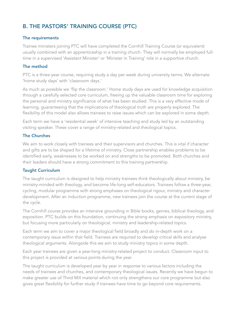# B. THE PASTORS' TRAINING COURSE (PTC)

#### The requirements

Trainee ministers joining PTC will have completed the Cornhill Training Course (or equivalent) usually combined with an apprenticeship in a training church. They will normally be employed fulltime in a supervised 'Assistant Minister' or 'Minister in Training' role in a supportive church.

### The method

PTC is a three-year course, requiring study a day per week during university terms. We alternate 'home study days' with 'classroom days.'

As much as possible we 'flip the classroom.' Home study days are used for knowledge acquisition through a carefully selected core curriculum, freeing up the valuable classroom time for exploring the personal and ministry significance of what has been studied. This is a very effective mode of learning, guaranteeing that the implications of theological truth are properly explored. The flexibility of this model also allows trainees to raise issues which can be explored in some depth.

Each term we have a 'residential week' of intensive teaching and study led by an outstanding visiting speaker. These cover a range of ministry-related and theological topics.

### The Churches

We aim to work closely with trainees and their supervisors and churches. This is vital if character and gifts are to be shaped for a lifetime of ministry. Close partnership enables problems to be identified early, weaknesses to be worked on and strengths to be promoted. Both churches and their leaders should have a strong commitment to this training partnership.

#### Taught Curriculum

The taught curriculum is designed to help ministry trainees think theologically about ministry, be ministry-minded with theology, and become life-long self-educators. Trainees follow a three-year, cycling, modular programme with strong emphases on theological rigour, ministry and character development. After an induction programme, new trainees join the course at the current stage of the cycle.

The Cornhill course provides an intensive grounding in Bible books, genres, biblical theology, and exposition. PTC builds on this foundation, continuing the strong emphasis on expository ministry, but focusing more particularly on theological, ministry and leadership-related topics.

Each term we aim to cover a major theological field broadly and do in-depth work on a contemporary issue within that field. Trainees are required to develop critical skills and analyse theological arguments. Alongside this we aim to study ministry topics in some depth.

Each year trainees are given a year-long ministry-related project to conduct. Classroom input to this project is provided at various points during the year.

The taught curriculum is developed year by year in response to various factors including the needs of trainees and churches, and contemporary theological issues. Recently we have begun to make greater use of Third Mill material which not only strengthens our core programme but also gives great flexibility for further study if trainees have time to go beyond core requirements.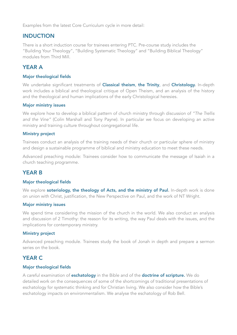Examples from the latest Core Curriculum cycle in more detail:

# INDUCTION

There is a short induction course for trainees entering PTC. Pre-course study includes the "Building Your Theology", "Building Systematic Theology" and "Building Biblical Theology" modules from Third Mill.

# YEAR A

#### Major theological fields

We undertake significant treatments of **Classical theism, the Trinity**, and **Christology.** In-depth work includes a biblical and theological critique of Open Theism, and an analysis of the history and the theological and human implications of the early Christological heresies.

#### Major ministry issues

We explore how to develop a biblical pattern of church ministry through discussion of *"The Trellis and the Vine"* (Colin Marshall and Tony Payne). In particular we focus on developing an active ministry and training culture throughout congregational life.

#### Ministry project

Trainees conduct an analysis of the training needs of their church or particular sphere of ministry and design a sustainable programme of biblical and ministry education to meet these needs.

Advanced preaching module: Trainees consider how to communicate the message of Isaiah in a church teaching programme.

# YEAR B

#### Major theological fields

We explore soteriology, the theology of Acts, and the ministry of Paul. In-depth work is done on union with Christ, justification, the New Perspective on Paul, and the work of NT Wright.

#### Major ministry issues

We spend time considering the mission of the church in the world. We also conduct an analysis and discussion of 2 Timothy: the reason for its writing, the way Paul deals with the issues, and the implications for contemporary ministry.

#### Ministry project

Advanced preaching module. Trainees study the book of Jonah in depth and prepare a sermon series on the book.

# YEAR C

#### Major theological fields

A careful examination of **eschatology** in the Bible and of the **doctrine of scripture.** We do detailed work on the consequences of some of the shortcomings of traditional presentations of eschatology for systematic thinking and for Christian living. We also consider how the Bible's eschatology impacts on environmentalism. We analyse the eschatology of Rob Bell.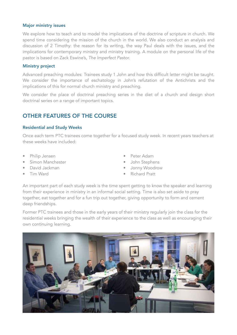#### Major ministry issues

We explore how to teach and to model the implications of the doctrine of scripture in church. We spend time considering the mission of the church in the world. We also conduct an analysis and discussion of 2 Timothy: the reason for its writing, the way Paul deals with the issues, and the implications for contemporary ministry and ministry training. A module on the personal life of the pastor is based on Zack Eswine's, *The Imperfect Pastor.*

#### Ministry project

Advanced preaching modules: Trainees study 1 John and how this difficult letter might be taught. We consider the importance of eschatology in John's refutation of the Antichrists and the implications of this for normal church ministry and preaching.

We consider the place of doctrinal preaching series in the diet of a church and design short doctrinal series on a range of important topics.

# OTHER FEATURES OF THE COURSE

#### Residential and Study Weeks

Once each term PTC trainees come together for a focused study week. In recent years teachers at these weeks have included:

- Philip Jensen
- Simon Manchester
- David Jackman
- Tim Ward
- Peter Adam
- John Stephens
- Jonny Woodrow
- Richard Pratt

An important part of each study week is the time spent getting to know the speaker and learning from their experience in ministry in an informal social setting. Time is also set aside to pray together, eat together and for a fun trip out together, giving opportunity to form and cement deep friendships.

Former PTC trainees and those in the early years of their ministry regularly join the class for the residential weeks bringing the wealth of their experience to the class as well as encouraging their own continuing learning.

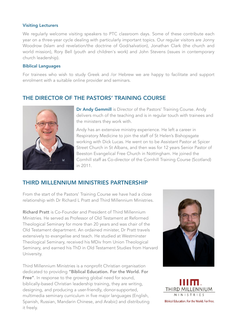#### Visiting Lecturers

We regularly welcome visiting speakers to PTC classroom days. Some of these contribute each year on a three-year cycle dealing with particularly important topics. Our regular visitors are Jonny Woodrow (Islam and revelation/the doctrine of God/salvation), Jonathan Clark (the church and world mission), Rory Bell (youth and children's work) and John Stevens (issues in contemporary church leadership).

#### Biblical Languages

For trainees who wish to study Greek and /or Hebrew we are happy to facilitate and support enrolment with a suitable online provider and seminars.

# THE DIRECTOR OF THE PASTORS' TRAINING COURSE



Dr Andy Gemmill is Director of the Pastors' Training Course. Andy delivers much of the teaching and is in regular touch with trainees and the ministers they work with.

Andy has an extensive ministry experience. He left a career in Respiratory Medicine to join the staff of St Helen's Bishopsgate working with Dick Lucas. He went on to be Assistant Pastor at Spicer Street Church in St Albans, and then was for 12 years Senior Pastor of Beeston Evangelical Free Church in Nottingham. He joined the Cornhill staff as Co-director of the Cornhill Training Course (Scotland) in 2011.

# THIRD MILLENNIUM MINISTRIES PARTNERSHIP

From the start of the Pastors' Training Course we have had a close relationship with Dr Richard L Pratt and Third Millennium Ministries.

Richard Pratt is Co-Founder and President of Third Millennium Ministries. He served as Professor of Old Testament at Reformed Theological Seminary for more than 20 years and was chair of the Old Testament department. An ordained minister, Dr Pratt travels extensively to evangelise and teach. He studied at Westminster Theological Seminary, received his MDiv from Union Theological Seminary, and earned his ThD in Old Testament Studies from Harvard University.

Third Millennium Ministries is a nonprofit Christian organisation dedicated to providing "Biblical Education. For the World. For Free". In response to the growing global need for sound, biblically-based Christian leadership training, they are writing, designing, and producing a user-friendly, donor-supported, multimedia seminary curriculum in five major languages (English, Spanish, Russian, Mandarin Chinese, and Arabic) and distributing it freely.



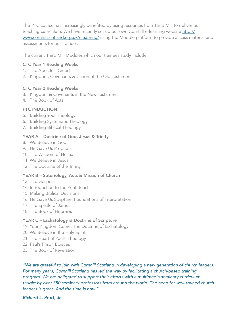The PTC course has increasingly benefited by using resources from Third Mill to deliver our teaching curriculum. We have recently set up our own Cornhill e-learning website [http://](http://www.cornhillscotland.org.uk/elearning/) [www.cornhillscotland.org.uk/elearning/](http://www.cornhillscotland.org.uk/elearning/) using the Moodle platform to provide access material and assessments for our trainees.

The current Third Mill Modules which our trainees study include:

#### CTC Year 1 Reading Weeks

- 1. The Apostles' Creed
- 2. Kingdom, Covenants & Canon of the Old Testament

#### CTC Year 2 Reading Weeks

- 3. Kingdom & Covenants in the New Testament
- 4. The Book of Acts

#### PTC INDUCTION

- 5. Building Your Theology
- 6. Building Systematic Theology
- 7. Building Biblical Theology

#### YEAR A – Doctrine of God, Jesus & Trinity

- 8. We Believe in God
- 9. He Gave Us Prophets
- 10. The Wisdom of Hosea
- 11. We Believe in Jesus
- 12. The Doctrine of the Trinity

#### YEAR B – Soteriology, Acts & Mission of Church

- 13. The Gospels
- 14. Introduction to the Pentateuch
- 15. Making Biblical Decisions
- 16. He Gave Us Scripture: Foundations of Interpretation
- 17. The Epistle of James
- 18. The Book of Hebrews

#### YEAR C – Eschatology & Doctrine of Scripture

- 19. Your Kingdom Come: The Doctrine of Eschatology
- 20. We Believe in the Holy Spirit
- 21. The Heart of Paul's Theology
- 22. Paul's Prison Epistles
- 23. The Book of Revelation

*"We are grateful to join with Cornhill Scotland in developing a new generation of church leaders. For many years, Cornhill Scotland has led the way by facilitating a church-based training program. We are delighted to support their efforts with a multimedia seminary curriculum taught by over 350 seminary professors from around the world. The need for well-trained church leaders is great. And the time is now."* 

#### *Richard L. Pratt, Jr.*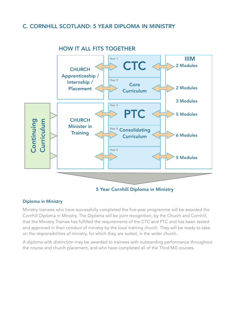# C. CORNHILL SCOTLAND: 5 YEAR DIPLOMA IN MINISTRY



### HOW IT ALL FITS TOGETHER

### 5 Year Cornhill Diploma in Ministry

#### Diploma in Ministry

Ministry trainees who have successfully completed the five-year programme will be awarded the Cornhill Diploma in Ministry. The Diploma will be joint recognition, by the Church and Cornhill, that the Ministry Trainee has fulfilled the requirements of the CTC and PTC and has been tested and approved in their conduct of ministry by the local training church. They will be ready to take on the responsibilities of ministry, for which they are suited, in the wider church.

A diploma with distinction may be awarded to trainees with outstanding performance throughout the course and church placement, and who have completed all of the Third Mill courses.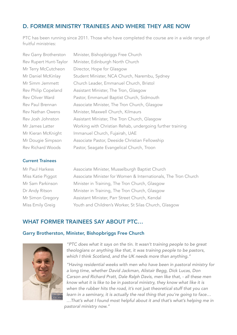# D. FORMER MINISTRY TRAINEES AND WHERE THEY ARE NOW

PTC has been running since 2011. Those who have completed the course are in a wide range of fruitful ministries:

| Rev Garry Brotherston    |
|--------------------------|
| Rev Rupert Hunt-Taylor   |
| Mr Terry McCutcheon      |
| Mr Daniel McKinlay       |
| Mr Simm Jemmett          |
| Rev Philip Copeland      |
| <b>Rev Oliver Ward</b>   |
| Rev Paul Brennan         |
| <b>Rev Nathan Owens</b>  |
| Rev Josh Johnston        |
| Mr James Latter          |
| Mr Kieran McKnight       |
| Mr Dougie Simpson        |
| <b>Rev Richard Woods</b> |

#### Current Trainees

Minister, Bishopbriggs Free Church Minister, Edinburgh North Church Director, Hope for Glasgow Student Minister, NCA Church, Narembu, Sydney Church Leader, Emmanuel Church, Bristol Assistant Minister, The Tron, Glasgow Pastor, Emmanuel Baptist Church, Sidmouth Associate Minister, The Tron Church, Glasgow Minister, Maxwell Church, Kilmaurs Assistant Minister, The Tron Church, Glasgow Working with Christian Rehab, undergoing further training Immanuel Church, Fujairah, UAE Associate Pastor, Deeside Christian Fellowship Pastor, Seagate Evangelical Church, Troon

Mr Paul Harkess Associate Minister, Musselburgh Baptist Church Miss Katie Piggot Associate Minister for Women & Internationals, The Tron Church Mr Sam Parkinson Minister in Training, The Tron Church, Glasgow Dr Andy Ritson Minister in Training, The Tron Church, Glasgow Mr Simon Gregory Assistant Minister, Parr Street Church, Kendal Miss Emily Greig Youth and Children's Worker, St Silas Church, Glasgow

# WHAT FORMER TRAINEES SAY ABOUT PTC…

#### Garry Brotherston, Minister, Bishopbriggs Free Church



*"PTC does what it says on the tin. It wasn't training people to be great theologians or anything like that, it was training people to be pastors, which I think Scotland, and the UK needs more than anything."*

*"Having residential weeks with men who have been in pastoral ministry for a long time, whether David Jackman, Alistair Begg, Dick Lucas, Don Carson and Richard Pratt, Dale Ralph Davis, men like that, - all these men know what it is like to be in pastoral ministry, they know what like it is when the rubber hits the road, it's not just theoretical stuff that you can learn in a seminary, it is actually the real thing that you're going to face… …That's what I found most helpful about it and that's what's helping me in pastoral ministry now."*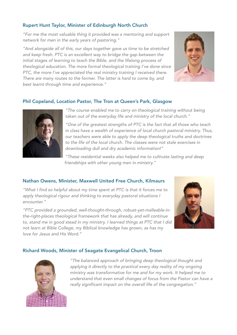### Rupert Hunt Taylor, Minister of Edinburgh North Church

*"For me the most valuable thing it provided was a mentoring and support network for men in the early years of pastoring."* 

*"And alongside all of this, our days together gave us time to be stretched and keep fresh. PTC is an excellent way to bridge the gap between the initial stages of learning to teach the Bible, and the lifelong process of theological education. The more formal theological training I've done since PTC, the more I've appreciated the real ministry training I received there. There are many routes to the former. The latter is hard to come by, and best learnt through time and experience."* 



### Phil Copeland, Location Pastor, The Tron at Queen's Park, Glasgow



*"The course enabled me to carry on theological training without being taken out of the everyday life and ministry of the local church."* 

*"One of the greatest strengths of PTC is the fact that all those who teach in class have a wealth of experience of local church pastoral ministry. Thus, our teachers were able to apply the deep theological truths and doctrines to the life of the local church. The classes were not stale exercises in downloading dull and dry academic information!"* 

*"These residential weeks also helped me to cultivate lasting and deep friendships with other young men in ministry."*

### Nathan Owens, Minister, Maxwell United Free Church, Kilmaurs

*"What I find so helpful about my time spent at PTC is that it forces me to apply theological rigour and thinking to everyday pastoral situations I encounter."* 

*"PTC provided a grounded, well-thought-through, robust-yet-malleable-inthe-right-places theological framework that has already, and will continue*  to, stand me in good stead in my ministry. I learned things at PTC that I did *not learn at Bible College, my Biblical knowledge has grown, as has my love for Jesus and His Word."* 



### Richard Woods, Minister of Seagate Evangelical Church, Troon



*"The balanced approach of bringing deep theological thought and*  applying it directly to the practical every day reality of my ongoing *ministry was transformative for me and for my work. It helped me to understand that even small changes of focus from the Pastor can have a really significant impact on the overall life of the congregation."*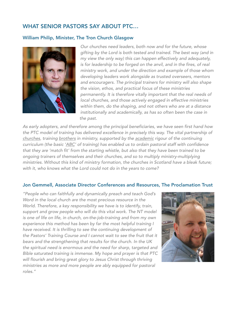# WHAT SENIOR PASTORS SAY ABOUT PTC…

#### William Philip, Minister, The Tron Church Glasgow



*Our churches need leaders, both now and for the future, whose gifting by the Lord is both tested and trained. The best way (and in my view the only way) this can happen effectively and adequately, is for leadership to be forged on the anvil, and in the fires, of real ministry work, and under the direction and example of those whom developing leaders work alongside as trusted overseers, mentors and encouragers. The principal trainers for ministry will also shape the vision, ethos, and practical focus of these ministries permanently. It is therefore vitally important that the real needs of local churches, and those actively engaged in effective ministries within them, do the shaping, and not others who are at a distance institutionally and academically, as has so often been the case in the past.*

*As early adopters, and therefore among the principal beneficiaries, we have seen first hand how the PTC model of training has delivered excellence in precisely this way. The vital partnership of churches, training brothers in ministry, supported by the academic rigour of the continuing curriculum (the basic 'ABC' of training) has enabled us to ordain pastoral staff with confidence that they are 'match fit' from the starting whistle, but also that they have been trained to be ongoing trainers of themselves and their churches, and so to multiply ministry-multiplying ministries. Without this kind of ministry formation, the churches in Scotland have a bleak future; with it, who knows what the Lord could not do in the years to come?*

#### Jon Gemmell, Associate Director Conferences and Resources, The Proclamation Trust

*"People who can faithfully and dynamically preach and teach God's Word in the local church are the most precious resource in the World. Therefore, a key responsibility we have is to identify, train,*  support and grow people who will do this vital work. The NT model *is one of life on life, in church, on-the-job-training and from my own experience this method has been by far the most helpful training I have received. It is thrilling to see the continuing development of the Pastors' Training Course and I cannot wait to see the fruit that it bears and the strengthening that results for the church. In the UK the spiritual need is enormous and the need for sharp, targeted and Bible saturated training is immense. My hope and prayer is that PTC will flourish and bring great glory to Jesus Christ through thriving ministries as more and more people are ably equipped for pastoral roles."*